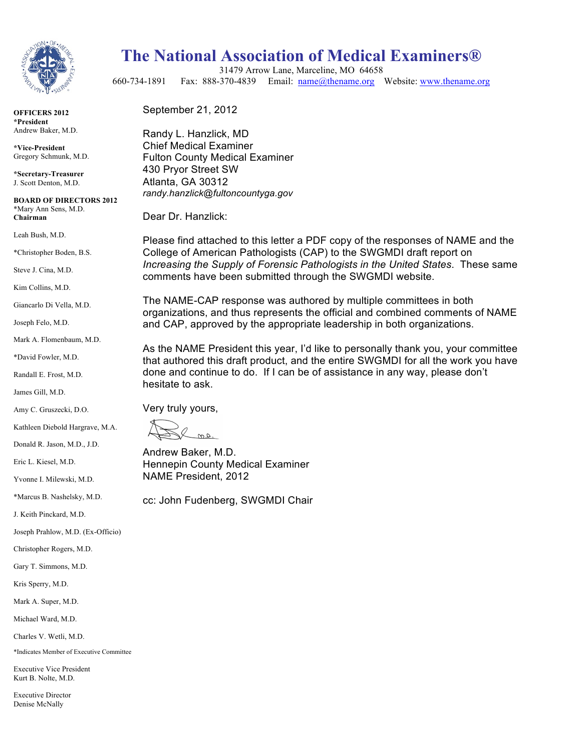

**OFFICERS 2012 \*President** Andrew Baker, M.D.

**\*Vice-President**  Gregory Schmunk, M.D.

**\*Secretary-Treasurer**  J. Scott Denton, M.D.

**BOARD OF DIRECTORS 2012** \*Mary Ann Sens, M.D. **Chairman**

Leah Bush, M.D.

\*Christopher Boden, B.S.

Steve J. Cina, M.D.

Kim Collins, M.D.

Giancarlo Di Vella, M.D.

Joseph Felo, M.D.

Mark A. Flomenbaum, M.D.

\*David Fowler, M.D.

Randall E. Frost, M.D.

James Gill, M.D.

Amy C. Gruszecki, D.O.

Kathleen Diebold Hargrave, M.A.

Donald R. Jason, M.D., J.D.

Eric L. Kiesel, M.D.

Yvonne I. Milewski, M.D.

\*Marcus B. Nashelsky, M.D.

J. Keith Pinckard, M.D.

Joseph Prahlow, M.D. (Ex-Officio)

Christopher Rogers, M.D.

Gary T. Simmons, M.D.

Kris Sperry, M.D.

Mark A. Super, M.D.

Michael Ward, M.D.

Charles V. Wetli, M.D.

\*Indicates Member of Executive Committee

Executive Vice President Kurt B. Nolte, M.D.

Executive Director Denise McNally

## **The National Association of Medical Examiners®**

31479 Arrow Lane, Marceline, MO 64658 660-734-1891 Fax: 888-370-4839 Email: name@thename.org Website: www.thename.org

September 21, 2012

Randy L. Hanzlick, MD Chief Medical Examiner Fulton County Medical Examiner 430 Pryor Street SW Atlanta, GA 30312 *randy.hanzlick@fultoncountyga.gov*

Dear Dr. Hanzlick:

Please find attached to this letter a PDF copy of the responses of NAME and the College of American Pathologists (CAP) to the SWGMDI draft report on *Increasing the Supply of Forensic Pathologists in the United States*. These same comments have been submitted through the SWGMDI website.

The NAME-CAP response was authored by multiple committees in both organizations, and thus represents the official and combined comments of NAME and CAP, approved by the appropriate leadership in both organizations.

As the NAME President this year, I'd like to personally thank you, your committee that authored this draft product, and the entire SWGMDI for all the work you have done and continue to do. If I can be of assistance in any way, please don't hesitate to ask.

Very truly yours,

 $.4.0$ 

Andrew Baker, M.D. Hennepin County Medical Examiner NAME President, 2012

cc: John Fudenberg, SWGMDI Chair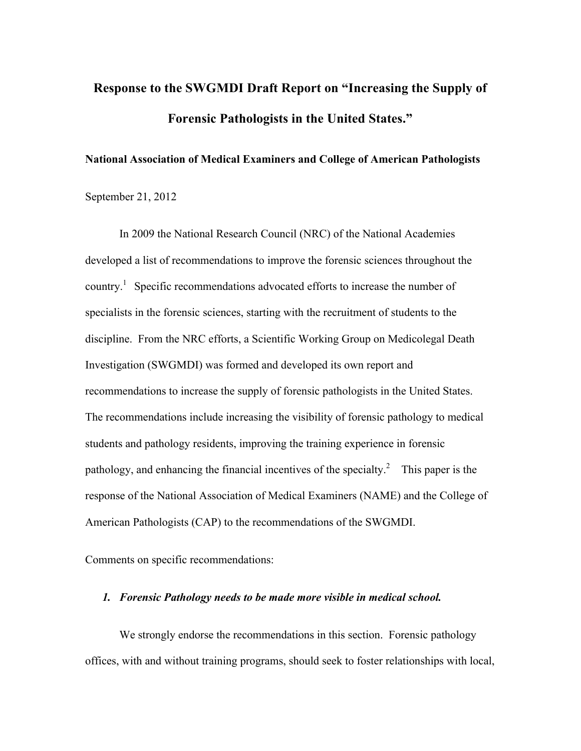# **Response to the SWGMDI Draft Report on "Increasing the Supply of Forensic Pathologists in the United States."**

### **National Association of Medical Examiners and College of American Pathologists**

September 21, 2012

In 2009 the National Research Council (NRC) of the National Academies developed a list of recommendations to improve the forensic sciences throughout the country.<sup>1</sup> Specific recommendations advocated efforts to increase the number of specialists in the forensic sciences, starting with the recruitment of students to the discipline. From the NRC efforts, a Scientific Working Group on Medicolegal Death Investigation (SWGMDI) was formed and developed its own report and recommendations to increase the supply of forensic pathologists in the United States. The recommendations include increasing the visibility of forensic pathology to medical students and pathology residents, improving the training experience in forensic pathology, and enhancing the financial incentives of the specialty.<sup>2</sup> This paper is the response of the National Association of Medical Examiners (NAME) and the College of American Pathologists (CAP) to the recommendations of the SWGMDI.

Comments on specific recommendations:

#### *1. Forensic Pathology needs to be made more visible in medical school.*

We strongly endorse the recommendations in this section. Forensic pathology offices, with and without training programs, should seek to foster relationships with local,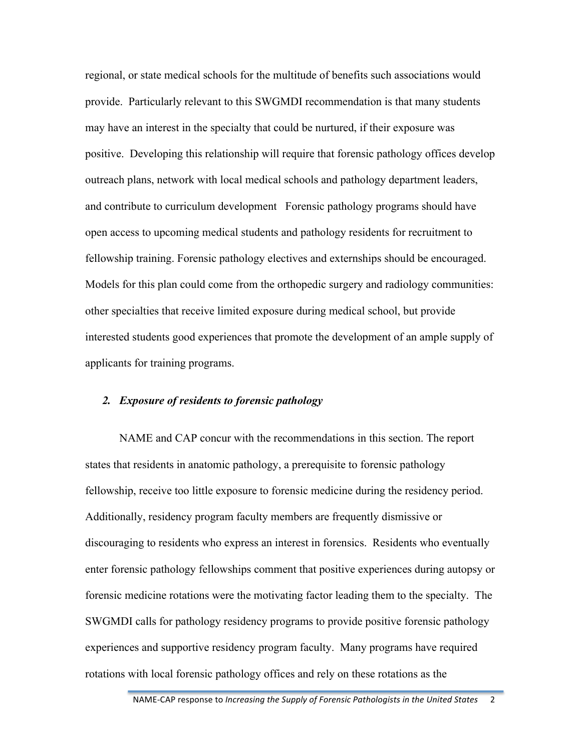regional, or state medical schools for the multitude of benefits such associations would provide. Particularly relevant to this SWGMDI recommendation is that many students may have an interest in the specialty that could be nurtured, if their exposure was positive. Developing this relationship will require that forensic pathology offices develop outreach plans, network with local medical schools and pathology department leaders, and contribute to curriculum development Forensic pathology programs should have open access to upcoming medical students and pathology residents for recruitment to fellowship training. Forensic pathology electives and externships should be encouraged. Models for this plan could come from the orthopedic surgery and radiology communities: other specialties that receive limited exposure during medical school, but provide interested students good experiences that promote the development of an ample supply of applicants for training programs.

## *2. Exposure of residents to forensic pathology*

NAME and CAP concur with the recommendations in this section. The report states that residents in anatomic pathology, a prerequisite to forensic pathology fellowship, receive too little exposure to forensic medicine during the residency period. Additionally, residency program faculty members are frequently dismissive or discouraging to residents who express an interest in forensics. Residents who eventually enter forensic pathology fellowships comment that positive experiences during autopsy or forensic medicine rotations were the motivating factor leading them to the specialty. The SWGMDI calls for pathology residency programs to provide positive forensic pathology experiences and supportive residency program faculty. Many programs have required rotations with local forensic pathology offices and rely on these rotations as the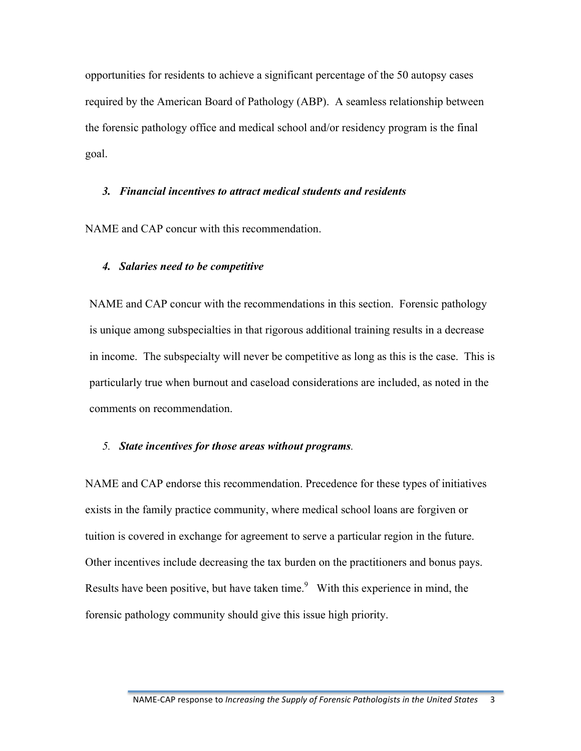opportunities for residents to achieve a significant percentage of the 50 autopsy cases required by the American Board of Pathology (ABP). A seamless relationship between the forensic pathology office and medical school and/or residency program is the final goal.

#### *3. Financial incentives to attract medical students and residents*

NAME and CAP concur with this recommendation.

#### *4. Salaries need to be competitive*

NAME and CAP concur with the recommendations in this section. Forensic pathology is unique among subspecialties in that rigorous additional training results in a decrease in income. The subspecialty will never be competitive as long as this is the case. This is particularly true when burnout and caseload considerations are included, as noted in the comments on recommendation.

#### *5. State incentives for those areas without programs.*

NAME and CAP endorse this recommendation. Precedence for these types of initiatives exists in the family practice community, where medical school loans are forgiven or tuition is covered in exchange for agreement to serve a particular region in the future. Other incentives include decreasing the tax burden on the practitioners and bonus pays. Results have been positive, but have taken time.<sup>9</sup> With this experience in mind, the forensic pathology community should give this issue high priority.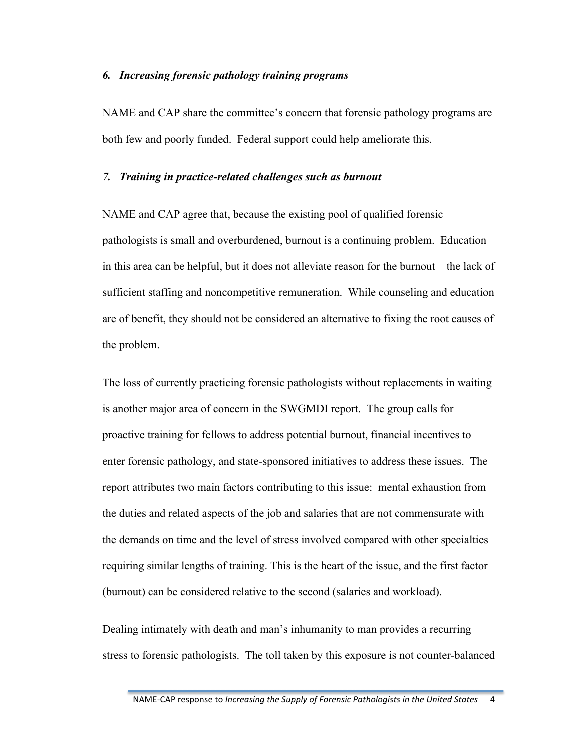#### *6. Increasing forensic pathology training programs*

NAME and CAP share the committee's concern that forensic pathology programs are both few and poorly funded. Federal support could help ameliorate this.

#### *7. Training in practice-related challenges such as burnout*

NAME and CAP agree that, because the existing pool of qualified forensic pathologists is small and overburdened, burnout is a continuing problem. Education in this area can be helpful, but it does not alleviate reason for the burnout—the lack of sufficient staffing and noncompetitive remuneration. While counseling and education are of benefit, they should not be considered an alternative to fixing the root causes of the problem.

The loss of currently practicing forensic pathologists without replacements in waiting is another major area of concern in the SWGMDI report. The group calls for proactive training for fellows to address potential burnout, financial incentives to enter forensic pathology, and state-sponsored initiatives to address these issues. The report attributes two main factors contributing to this issue: mental exhaustion from the duties and related aspects of the job and salaries that are not commensurate with the demands on time and the level of stress involved compared with other specialties requiring similar lengths of training. This is the heart of the issue, and the first factor (burnout) can be considered relative to the second (salaries and workload).

Dealing intimately with death and man's inhumanity to man provides a recurring stress to forensic pathologists. The toll taken by this exposure is not counter-balanced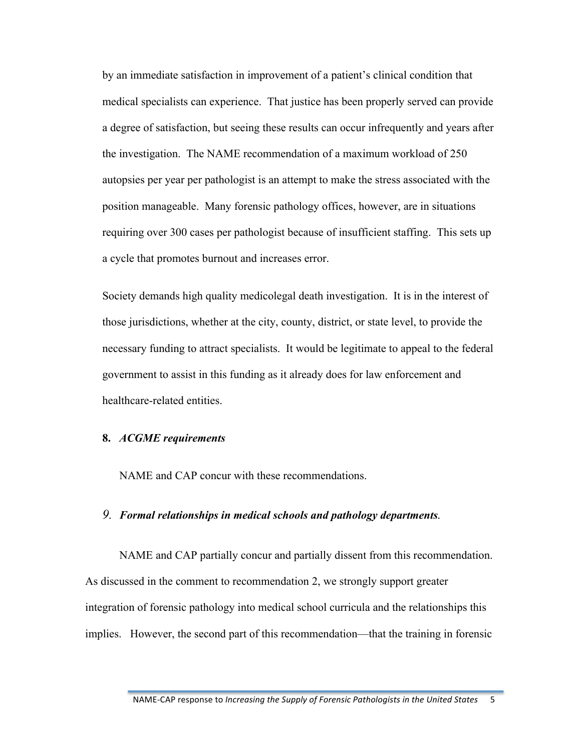by an immediate satisfaction in improvement of a patient's clinical condition that medical specialists can experience. That justice has been properly served can provide a degree of satisfaction, but seeing these results can occur infrequently and years after the investigation. The NAME recommendation of a maximum workload of 250 autopsies per year per pathologist is an attempt to make the stress associated with the position manageable. Many forensic pathology offices, however, are in situations requiring over 300 cases per pathologist because of insufficient staffing. This sets up a cycle that promotes burnout and increases error.

Society demands high quality medicolegal death investigation. It is in the interest of those jurisdictions, whether at the city, county, district, or state level, to provide the necessary funding to attract specialists. It would be legitimate to appeal to the federal government to assist in this funding as it already does for law enforcement and healthcare-related entities.

## **8.** *ACGME requirements*

NAME and CAP concur with these recommendations.

#### *9. Formal relationships in medical schools and pathology departments.*

NAME and CAP partially concur and partially dissent from this recommendation. As discussed in the comment to recommendation 2, we strongly support greater integration of forensic pathology into medical school curricula and the relationships this implies. However, the second part of this recommendation—that the training in forensic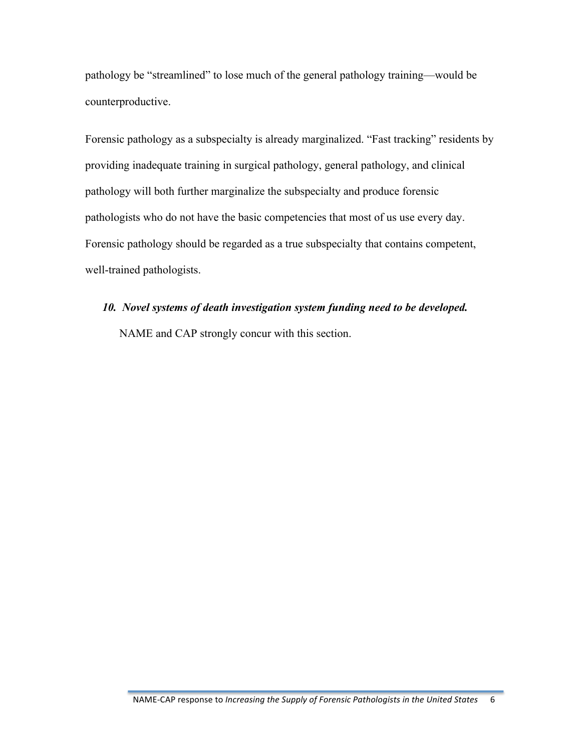pathology be "streamlined" to lose much of the general pathology training—would be counterproductive.

Forensic pathology as a subspecialty is already marginalized. "Fast tracking" residents by providing inadequate training in surgical pathology, general pathology, and clinical pathology will both further marginalize the subspecialty and produce forensic pathologists who do not have the basic competencies that most of us use every day. Forensic pathology should be regarded as a true subspecialty that contains competent, well-trained pathologists.

### *10. Novel systems of death investigation system funding need to be developed.*

NAME and CAP strongly concur with this section.